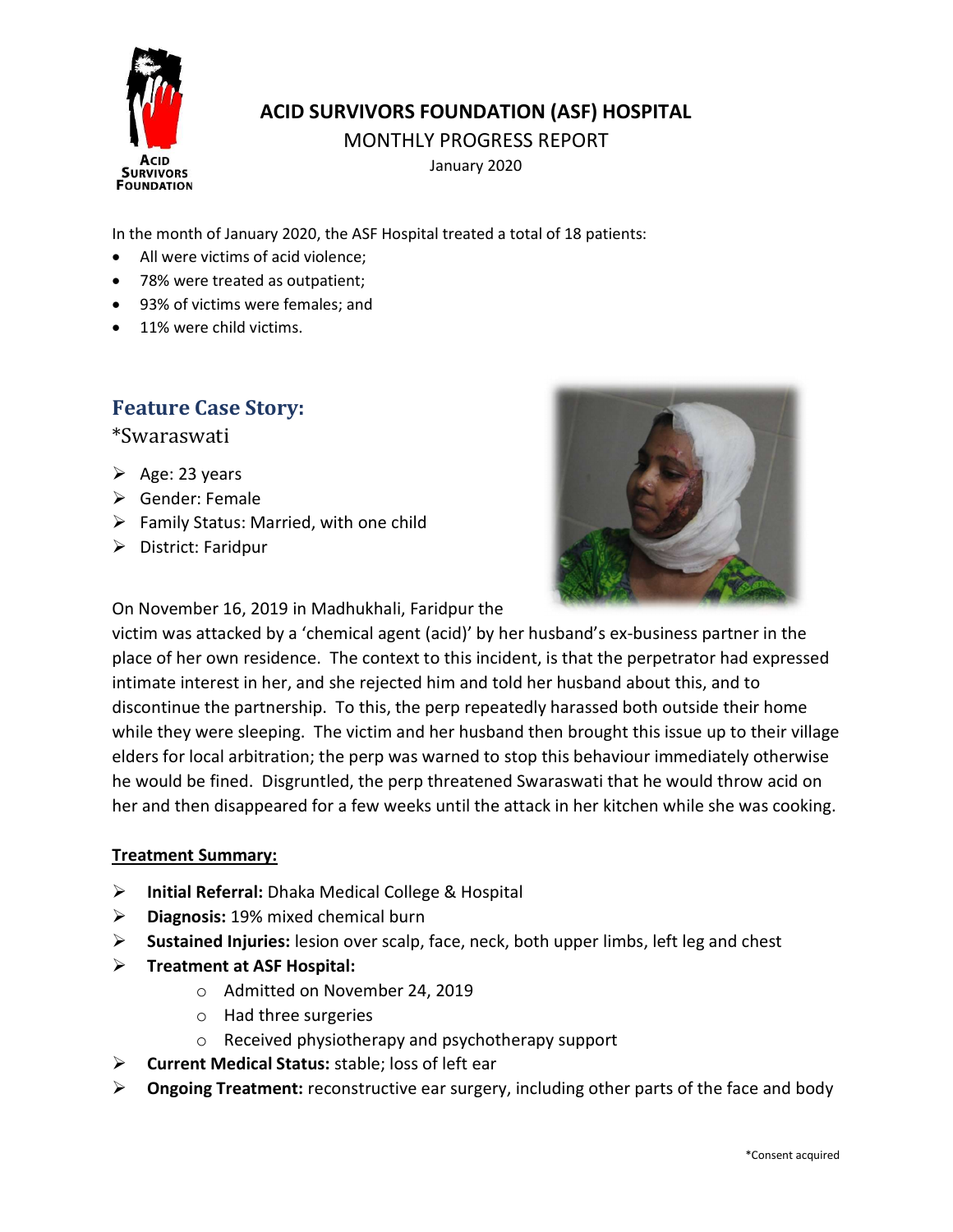

## ACID SURVIVORS FOUNDATION (ASF) HOSPITAL

MONTHLY PROGRESS REPORT

January 2020

In the month of January 2020, the ASF Hospital treated a total of 18 patients:

- All were victims of acid violence;
- 78% were treated as outpatient;
- 93% of victims were females; and
- 11% were child victims.

## Feature Case Story:

\*Swaraswati

- $\triangleright$  Age: 23 years
- Gender: Female
- $\triangleright$  Family Status: Married, with one child
- > District: Faridpur



On November 16, 2019 in Madhukhali, Faridpur the

victim was attacked by a 'chemical agent (acid)' by her husband's ex-business partner in the place of her own residence. The context to this incident, is that the perpetrator had expressed intimate interest in her, and she rejected him and told her husband about this, and to discontinue the partnership. To this, the perp repeatedly harassed both outside their home while they were sleeping. The victim and her husband then brought this issue up to their village elders for local arbitration; the perp was warned to stop this behaviour immediately otherwise he would be fined. Disgruntled, the perp threatened Swaraswati that he would throw acid on her and then disappeared for a few weeks until the attack in her kitchen while she was cooking.

## Treatment Summary:

- $\triangleright$  Initial Referral: Dhaka Medical College & Hospital
- $\triangleright$  Diagnosis: 19% mixed chemical burn
- $\triangleright$  Sustained Injuries: lesion over scalp, face, neck, both upper limbs, left leg and chest
- $\triangleright$  Treatment at ASF Hospital:
	- o Admitted on November 24, 2019
	- o Had three surgeries
	- o Received physiotherapy and psychotherapy support
- $\triangleright$  Current Medical Status: stable; loss of left ear
- $\triangleright$  Ongoing Treatment: reconstructive ear surgery, including other parts of the face and body